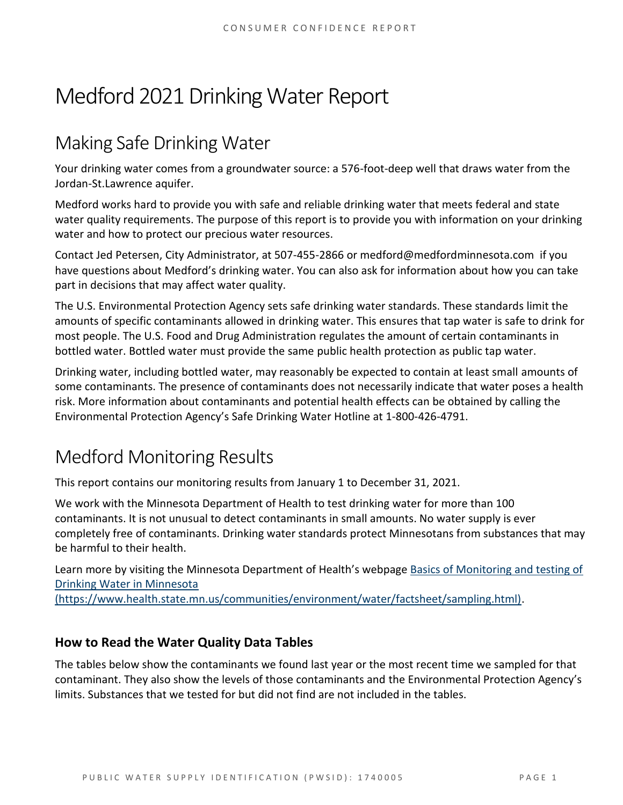# Medford 2021 Drinking Water Report

## Making Safe Drinking Water

Your drinking water comes from a groundwater source: a 576-foot-deep well that draws water from the Jordan-St.Lawrence aquifer.

Medford works hard to provide you with safe and reliable drinking water that meets federal and state water quality requirements. The purpose of this report is to provide you with information on your drinking water and how to protect our precious water resources.

Contact Jed Petersen, City Administrator, at 507-455-2866 or medford@medfordminnesota.com if you have questions about Medford's drinking water. You can also ask for information about how you can take part in decisions that may affect water quality.

The U.S. Environmental Protection Agency sets safe drinking water standards. These standards limit the amounts of specific contaminants allowed in drinking water. This ensures that tap water is safe to drink for most people. The U.S. Food and Drug Administration regulates the amount of certain contaminants in bottled water. Bottled water must provide the same public health protection as public tap water.

Drinking water, including bottled water, may reasonably be expected to contain at least small amounts of some contaminants. The presence of contaminants does not necessarily indicate that water poses a health risk. More information about contaminants and potential health effects can be obtained by calling the Environmental Protection Agency's Safe Drinking Water Hotline at 1-800-426-4791.

## Medford Monitoring Results

This report contains our monitoring results from January 1 to December 31, 2021.

We work with the Minnesota Department of Health to test drinking water for more than 100 contaminants. It is not unusual to detect contaminants in small amounts. No water supply is ever completely free of contaminants. Drinking water standards protect Minnesotans from substances that may be harmful to their health.

Learn more by visiting the Minnesota Department of Health's webpage [Basics of Monitoring and testing of](https://www.health.state.mn.us/communities/environment/water/factsheet/sampling.html)  [Drinking Water in Minnesota](https://www.health.state.mn.us/communities/environment/water/factsheet/sampling.html) 

[\(https://www.health.state.mn.us/communities/environment/water/factsheet/sampling.html\).](https://www.health.state.mn.us/communities/environment/water/factsheet/sampling.html)

#### **How to Read the Water Quality Data Tables**

The tables below show the contaminants we found last year or the most recent time we sampled for that contaminant. They also show the levels of those contaminants and the Environmental Protection Agency's limits. Substances that we tested for but did not find are not included in the tables.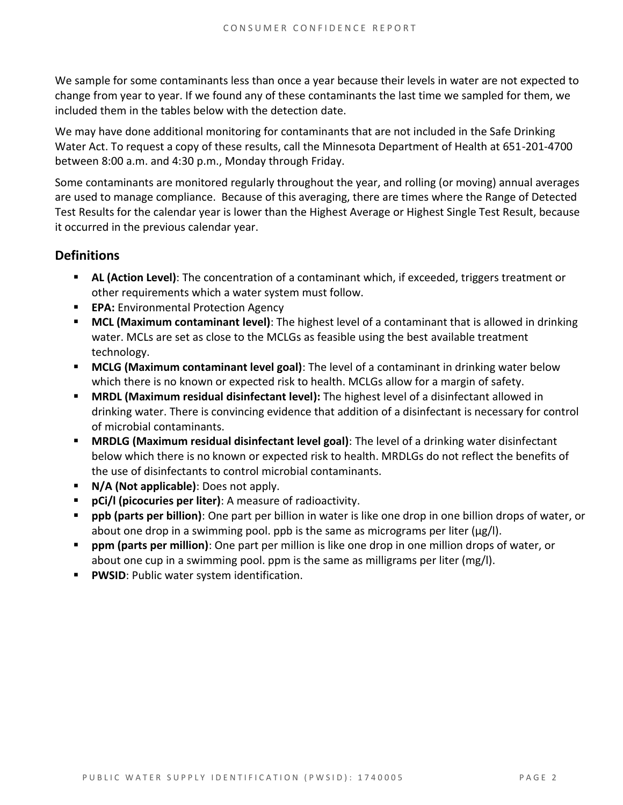We sample for some contaminants less than once a year because their levels in water are not expected to change from year to year. If we found any of these contaminants the last time we sampled for them, we included them in the tables below with the detection date.

We may have done additional monitoring for contaminants that are not included in the Safe Drinking Water Act. To request a copy of these results, call the Minnesota Department of Health at 651-201-4700 between 8:00 a.m. and 4:30 p.m., Monday through Friday.

Some contaminants are monitored regularly throughout the year, and rolling (or moving) annual averages are used to manage compliance. Because of this averaging, there are times where the Range of Detected Test Results for the calendar year is lower than the Highest Average or Highest Single Test Result, because it occurred in the previous calendar year.

#### **Definitions**

- **AL (Action Level)**: The concentration of a contaminant which, if exceeded, triggers treatment or other requirements which a water system must follow.
- **EPA:** Environmental Protection Agency
- **MCL (Maximum contaminant level)**: The highest level of a contaminant that is allowed in drinking water. MCLs are set as close to the MCLGs as feasible using the best available treatment technology.
- **MCLG (Maximum contaminant level goal)**: The level of a contaminant in drinking water below which there is no known or expected risk to health. MCLGs allow for a margin of safety.
- **MRDL (Maximum residual disinfectant level):** The highest level of a disinfectant allowed in drinking water. There is convincing evidence that addition of a disinfectant is necessary for control of microbial contaminants.
- **MRDLG (Maximum residual disinfectant level goal)**: The level of a drinking water disinfectant below which there is no known or expected risk to health. MRDLGs do not reflect the benefits of the use of disinfectants to control microbial contaminants.
- **N/A (Not applicable)**: Does not apply.
- **pCi/l (picocuries per liter)**: A measure of radioactivity.
- **ppb (parts per billion)**: One part per billion in water is like one drop in one billion drops of water, or about one drop in a swimming pool. ppb is the same as micrograms per liter (μg/l).
- **ppm (parts per million)**: One part per million is like one drop in one million drops of water, or about one cup in a swimming pool. ppm is the same as milligrams per liter (mg/l).
- **PWSID**: Public water system identification.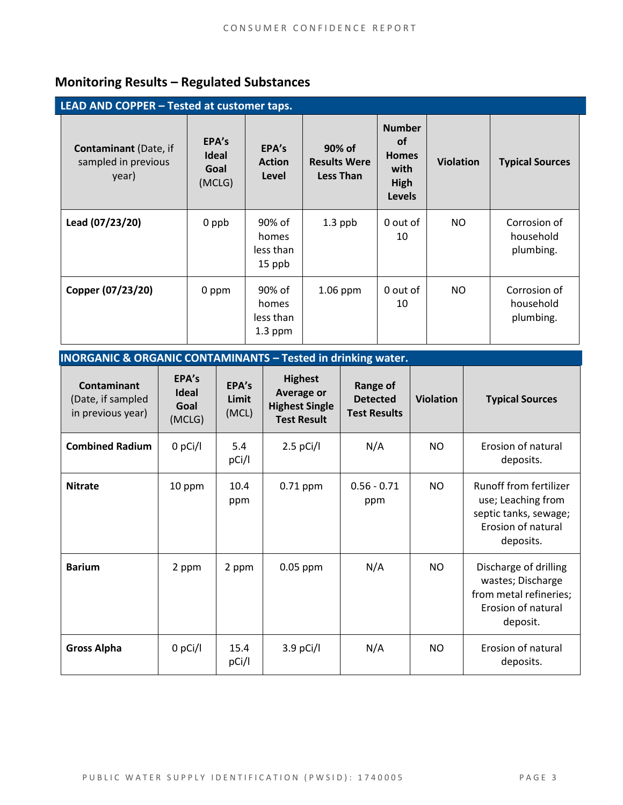### **Monitoring Results – Regulated Substances**

**INORGANIC & ORGANIC CONTAMINANTS – Tested in drinking water.**

| LEAD AND COPPER - Tested at customer taps.                   |                                         |                                           |                                                   |                                                                             |                  |                                        |
|--------------------------------------------------------------|-----------------------------------------|-------------------------------------------|---------------------------------------------------|-----------------------------------------------------------------------------|------------------|----------------------------------------|
| <b>Contaminant</b> (Date, if<br>sampled in previous<br>year) | EPA's<br><b>Ideal</b><br>Goal<br>(MCLG) | EPA's<br><b>Action</b><br>Level           | 90% of<br><b>Results Were</b><br><b>Less Than</b> | <b>Number</b><br><b>of</b><br><b>Homes</b><br>with<br>High<br><b>Levels</b> | <b>Violation</b> | <b>Typical Sources</b>                 |
| Lead (07/23/20)                                              | 0 ppb                                   | 90% of<br>homes<br>less than<br>15 ppb    | $1.3$ ppb                                         | 0 out of<br>10                                                              | NO               | Corrosion of<br>household<br>plumbing. |
| Copper (07/23/20)                                            | 0 ppm                                   | 90% of<br>homes<br>less than<br>$1.3$ ppm | 1.06 ppm                                          | 0 out of<br>10                                                              | NO.              | Corrosion of<br>household<br>plumbing. |

| <u>INURGANIC &amp; URGANIC CUNTAMINANTS – TESTED IN OMNING WATER.</u> |                                         |                         |                                                                                    |                                                    |                  |                                                                                                          |
|-----------------------------------------------------------------------|-----------------------------------------|-------------------------|------------------------------------------------------------------------------------|----------------------------------------------------|------------------|----------------------------------------------------------------------------------------------------------|
| <b>Contaminant</b><br>(Date, if sampled<br>in previous year)          | EPA's<br><b>Ideal</b><br>Goal<br>(MCLG) | EPA's<br>Limit<br>(MCL) | <b>Highest</b><br><b>Average or</b><br><b>Highest Single</b><br><b>Test Result</b> | Range of<br><b>Detected</b><br><b>Test Results</b> | <b>Violation</b> | <b>Typical Sources</b>                                                                                   |
| <b>Combined Radium</b>                                                | $0$ pCi/l                               | 5.4<br>pCi/l            | $2.5$ pCi/l                                                                        | N/A                                                | <b>NO</b>        | Erosion of natural<br>deposits.                                                                          |
| <b>Nitrate</b>                                                        | 10 ppm                                  | 10.4<br>ppm             | $0.71$ ppm                                                                         | $0.56 - 0.71$<br>ppm                               | <b>NO</b>        | Runoff from fertilizer<br>use; Leaching from<br>septic tanks, sewage;<br>Erosion of natural<br>deposits. |
| <b>Barium</b>                                                         | 2 ppm                                   | 2 ppm                   | $0.05$ ppm                                                                         | N/A                                                | <b>NO</b>        | Discharge of drilling<br>wastes; Discharge<br>from metal refineries;<br>Erosion of natural<br>deposit.   |
| <b>Gross Alpha</b>                                                    | $0$ pCi/l                               | 15.4<br>pCi/l           | $3.9$ pCi/l                                                                        | N/A                                                | <b>NO</b>        | Erosion of natural<br>deposits.                                                                          |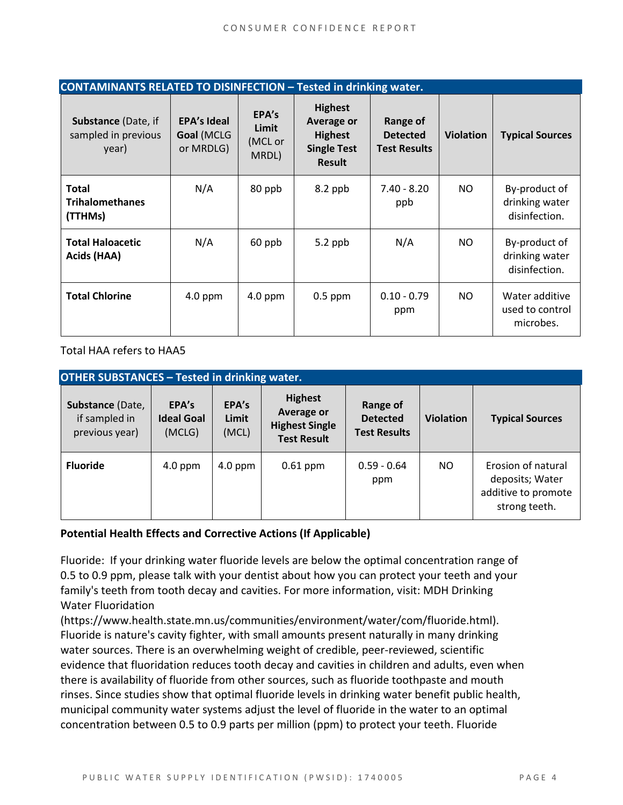| <b>CONTAMINANTS RELATED TO DISINFECTION - Tested in drinking water.</b> |                                               |                                    |                                                                                              |                                                    |                  |                                                  |  |
|-------------------------------------------------------------------------|-----------------------------------------------|------------------------------------|----------------------------------------------------------------------------------------------|----------------------------------------------------|------------------|--------------------------------------------------|--|
| Substance (Date, if<br>sampled in previous<br>year)                     | <b>EPA's Ideal</b><br>Goal (MCLG<br>or MRDLG) | EPA's<br>Limit<br>(MCL or<br>MRDL) | <b>Highest</b><br><b>Average or</b><br><b>Highest</b><br><b>Single Test</b><br><b>Result</b> | Range of<br><b>Detected</b><br><b>Test Results</b> | <b>Violation</b> | <b>Typical Sources</b>                           |  |
| <b>Total</b><br><b>Trihalomethanes</b><br>(TTHMs)                       | N/A                                           | 80 ppb                             | 8.2 ppb                                                                                      | $7.40 - 8.20$<br>ppb                               | NO.              | By-product of<br>drinking water<br>disinfection. |  |
| <b>Total Haloacetic</b><br>Acids (HAA)                                  | N/A                                           | 60 ppb                             | $5.2$ ppb                                                                                    | N/A                                                | NO.              | By-product of<br>drinking water<br>disinfection. |  |
| <b>Total Chlorine</b>                                                   | $4.0$ ppm                                     | $4.0$ ppm                          | $0.5$ ppm                                                                                    | $0.10 - 0.79$<br>ppm                               | NO.              | Water additive<br>used to control<br>microbes.   |  |

Total HAA refers to HAA5

| <b>OTHER SUBSTANCES - Tested in drinking water.</b> |                                      |                         |                                                                                    |                                                    |                  |                                                                               |  |
|-----------------------------------------------------|--------------------------------------|-------------------------|------------------------------------------------------------------------------------|----------------------------------------------------|------------------|-------------------------------------------------------------------------------|--|
| Substance (Date,<br>if sampled in<br>previous year) | EPA's<br><b>Ideal Goal</b><br>(MCLG) | EPA's<br>Limit<br>(MCL) | <b>Highest</b><br><b>Average or</b><br><b>Highest Single</b><br><b>Test Result</b> | Range of<br><b>Detected</b><br><b>Test Results</b> | <b>Violation</b> | <b>Typical Sources</b>                                                        |  |
| <b>Fluoride</b>                                     | $4.0$ ppm                            | $4.0$ ppm               | $0.61$ ppm                                                                         | $0.59 - 0.64$<br>ppm                               | NO.              | Erosion of natural<br>deposits; Water<br>additive to promote<br>strong teeth. |  |

#### **Potential Health Effects and Corrective Actions (If Applicable)**

Fluoride: If your drinking water fluoride levels are below the optimal concentration range of 0.5 to 0.9 ppm, please talk with your dentist about how you can protect your teeth and your family's teeth from tooth decay and cavities. For more information, visit: MDH Drinking Water Fluoridation

(https://www.health.state.mn.us/communities/environment/water/com/fluoride.html). Fluoride is nature's cavity fighter, with small amounts present naturally in many drinking water sources. There is an overwhelming weight of credible, peer-reviewed, scientific evidence that fluoridation reduces tooth decay and cavities in children and adults, even when there is availability of fluoride from other sources, such as fluoride toothpaste and mouth rinses. Since studies show that optimal fluoride levels in drinking water benefit public health, municipal community water systems adjust the level of fluoride in the water to an optimal concentration between 0.5 to 0.9 parts per million (ppm) to protect your teeth. Fluoride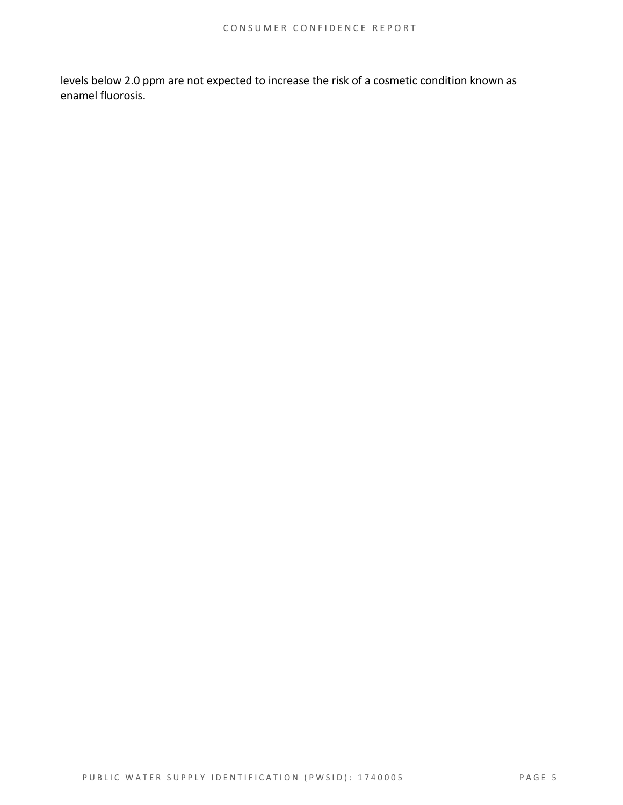levels below 2.0 ppm are not expected to increase the risk of a cosmetic condition known as enamel fluorosis.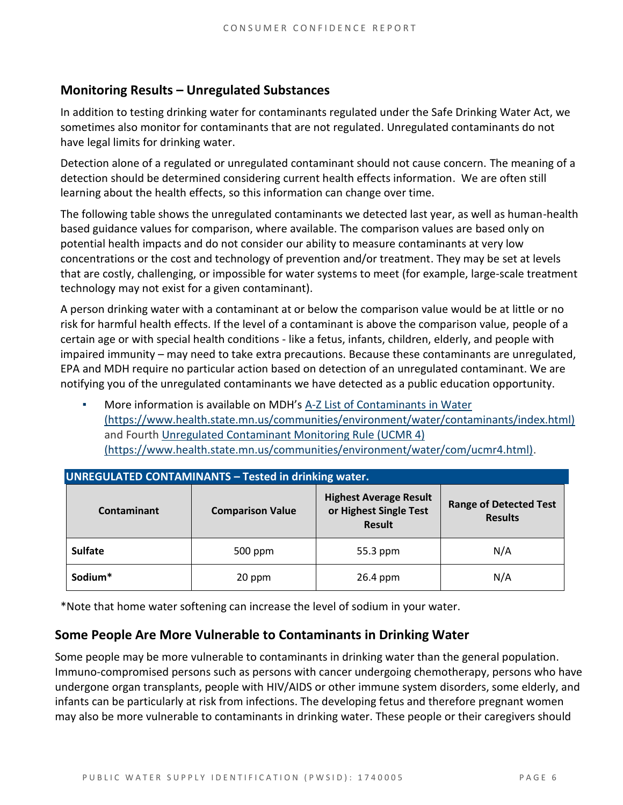#### **Monitoring Results – Unregulated Substances**

In addition to testing drinking water for contaminants regulated under the Safe Drinking Water Act, we sometimes also monitor for contaminants that are not regulated. Unregulated contaminants do not have legal limits for drinking water.

Detection alone of a regulated or unregulated contaminant should not cause concern. The meaning of a detection should be determined considering current health effects information. We are often still learning about the health effects, so this information can change over time.

The following table shows the unregulated contaminants we detected last year, as well as human-health based guidance values for comparison, where available. The comparison values are based only on potential health impacts and do not consider our ability to measure contaminants at very low concentrations or the cost and technology of prevention and/or treatment. They may be set at levels that are costly, challenging, or impossible for water systems to meet (for example, large-scale treatment technology may not exist for a given contaminant).

A person drinking water with a contaminant at or below the comparison value would be at little or no risk for harmful health effects. If the level of a contaminant is above the comparison value, people of a certain age or with special health conditions - like a fetus, infants, children, elderly, and people with impaired immunity – may need to take extra precautions. Because these contaminants are unregulated, EPA and MDH require no particular action based on detection of an unregulated contaminant. We are notifying you of the unregulated contaminants we have detected as a public education opportunity.

More information is available on MDH's A-Z List of Contaminants in Water [\(https://www.health.state.mn.us/communities/environment/water/contaminants/index.html\)](https://www.health.state.mn.us/communities/environment/water/contaminants/index.html) and Fourth [Unregulated Contaminant Monitoring Rule \(UCMR 4\)](https://www.health.state.mn.us/communities/environment/water/com/ucmr4.html)  [\(https://www.health.state.mn.us/communities/environment/water/com/ucmr4.html\).](https://www.health.state.mn.us/communities/environment/water/com/ucmr4.html)

| <b>UNREGULATED CONTAMINANTS - Tested in drinking water.</b> |                         |                                                                          |                                                 |  |  |  |  |
|-------------------------------------------------------------|-------------------------|--------------------------------------------------------------------------|-------------------------------------------------|--|--|--|--|
| <b>Contaminant</b>                                          | <b>Comparison Value</b> | <b>Highest Average Result</b><br>or Highest Single Test<br><b>Result</b> | <b>Range of Detected Test</b><br><b>Results</b> |  |  |  |  |
| <b>Sulfate</b>                                              | 500 ppm                 |                                                                          | N/A                                             |  |  |  |  |
| Sodium*                                                     | 20 ppm                  | 26.4 ppm                                                                 | N/A                                             |  |  |  |  |

\*Note that home water softening can increase the level of sodium in your water.

#### **Some People Are More Vulnerable to Contaminants in Drinking Water**

Some people may be more vulnerable to contaminants in drinking water than the general population. Immuno-compromised persons such as persons with cancer undergoing chemotherapy, persons who have undergone organ transplants, people with HIV/AIDS or other immune system disorders, some elderly, and infants can be particularly at risk from infections. The developing fetus and therefore pregnant women may also be more vulnerable to contaminants in drinking water. These people or their caregivers should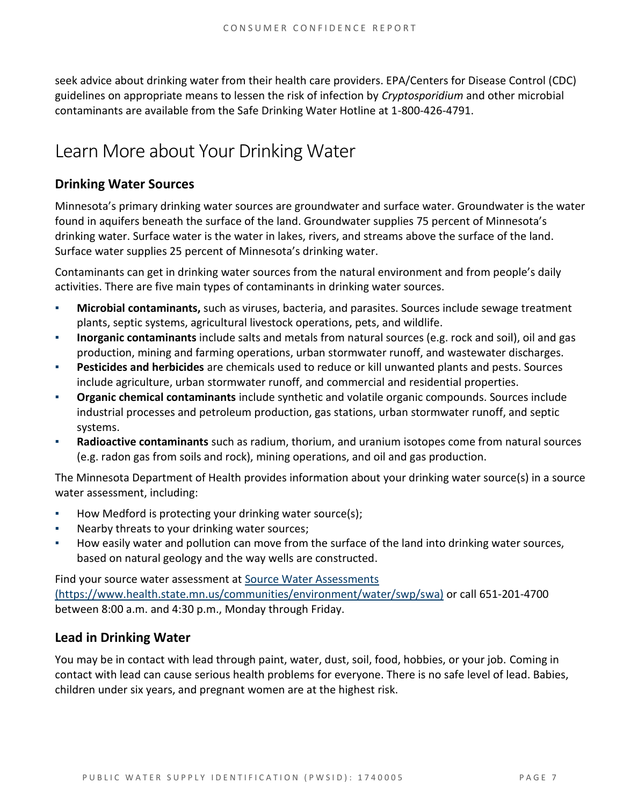seek advice about drinking water from their health care providers. EPA/Centers for Disease Control (CDC) guidelines on appropriate means to lessen the risk of infection by *Cryptosporidium* and other microbial contaminants are available from the Safe Drinking Water Hotline at 1-800-426-4791.

### Learn More about Your Drinking Water

#### **Drinking Water Sources**

Minnesota's primary drinking water sources are groundwater and surface water. Groundwater is the water found in aquifers beneath the surface of the land. Groundwater supplies 75 percent of Minnesota's drinking water. Surface water is the water in lakes, rivers, and streams above the surface of the land. Surface water supplies 25 percent of Minnesota's drinking water.

Contaminants can get in drinking water sources from the natural environment and from people's daily activities. There are five main types of contaminants in drinking water sources.

- **Microbial contaminants,** such as viruses, bacteria, and parasites. Sources include sewage treatment plants, septic systems, agricultural livestock operations, pets, and wildlife.
- **Inorganic contaminants** include salts and metals from natural sources (e.g. rock and soil), oil and gas production, mining and farming operations, urban stormwater runoff, and wastewater discharges.
- **Pesticides and herbicides** are chemicals used to reduce or kill unwanted plants and pests. Sources include agriculture, urban stormwater runoff, and commercial and residential properties.
- **Organic chemical contaminants** include synthetic and volatile organic compounds. Sources include industrial processes and petroleum production, gas stations, urban stormwater runoff, and septic systems.
- **Radioactive contaminants** such as radium, thorium, and uranium isotopes come from natural sources (e.g. radon gas from soils and rock), mining operations, and oil and gas production.

The Minnesota Department of Health provides information about your drinking water source(s) in a source water assessment, including:

- How Medford is protecting your drinking water source(s);
- Nearby threats to your drinking water sources;
- How easily water and pollution can move from the surface of the land into drinking water sources, based on natural geology and the way wells are constructed.

Find your source water assessment at Source Water Assessments [\(https://www.health.state.mn.us/communities/environment/water/swp/swa\)](https://www.health.state.mn.us/communities/environment/water/swp/swa) or call 651-201-4700 between 8:00 a.m. and 4:30 p.m., Monday through Friday.

#### **Lead in Drinking Water**

You may be in contact with lead through paint, water, dust, soil, food, hobbies, or your job. Coming in contact with lead can cause serious health problems for everyone. There is no safe level of lead. Babies, children under six years, and pregnant women are at the highest risk.